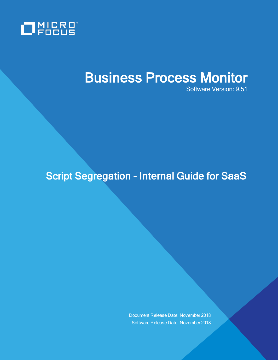

# Business Process Monitor

Software Version: 9.51

## Script Segregation - Internal Guide for SaaS

Document Release Date: November 2018 Software Release Date: November 2018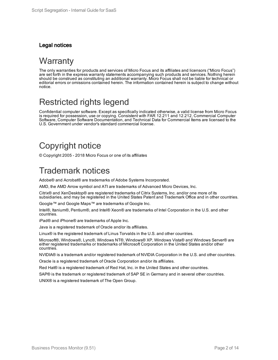#### Legal notices

### **Warranty**

The only warranties for products and services of Micro Focus and its affiliates and licensors ("Micro Focus") are set forth in the express warranty statements accompanying such products and services. Nothing herein should be construed as constituting an additional warranty. Micro Focus shall not be liable for technical or editorial errors or omissions contained herein. The information contained herein is subject to change without notice.

### Restricted rights legend

Confidential computer software. Except as specifically indicated otherwise, a valid license from Micro Focus is required for possession, use or copying. Consistent with FAR 12.211 and 12.212, Commercial Computer Software, Computer Software Documentation, and Technical Data for Commercial Items are licensed to the U.S. Government under vendor's standard commercial license.

### Copyright notice

© Copyright 2005 - 2018 Micro Focus or one of its affiliates

### Trademark notices

Adobe® and Acrobat® are trademarks of Adobe Systems Incorporated.

AMD, the AMD Arrow symbol and ATI are trademarks of Advanced Micro Devices, Inc.

Citrix® and XenDesktop® are registered trademarks of Citrix Systems, Inc. and/or one more of its subsidiaries, and may be registered in the United States Patent and Trademark Office and in other countries.

Google™ and Google Maps™ are trademarks of Google Inc.

Intel®, Itanium®, Pentium®, and Intel® Xeon® are trademarks of Intel Corporation in the U.S. and other countries.

iPad® and iPhone® are trademarks of Apple Inc.

Java is a registered trademark of Oracle and/or its affiliates.

Linux® is the registered trademark of Linus Torvalds in the U.S. and other countries.

Microsoft®, Windows®, Lync®, Windows NT®, Windows® XP, Windows Vista® and Windows Server® are either registered trademarks or trademarks of Microsoft Corporation in the United States and/or other countries.

NVIDIA® is a trademark and/or registered trademark of NVIDIA Corporation in the U.S. and other countries.

Oracle is a registered trademark of Oracle Corporation and/or its affiliates.

Red Hat® is a registered trademark of Red Hat, Inc. in the United States and other countries.

SAP® is the trademark or registered trademark of SAP SE in Germany and in several other countries.

UNIX® is a registered trademark of The Open Group.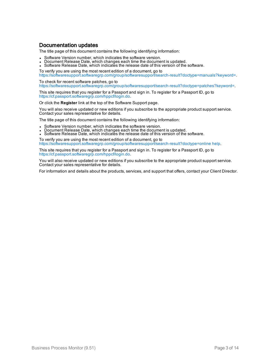#### Documentation updates

The title page of this document contains the following identifying information:

- **Software Version number, which indicates the software version.**
- $\bullet$  Document Release Date, which changes each time the document is updated.
- Software Release Date, which indicates the release date of this version of the software.
- To verify you are using the most recent edition of a document, go to

[https://softwaresupport.softwaregrp.com/group/softwaresupport/search-result?doctype=manuals?keyword=.](https://softwaresupport.softwaregrp.com/group/softwaresupport/search-result?doctype=manuals?keyword=)

To check for recent software patches, go to [https://softwaresupport.softwaregrp.com/group/softwaresupport/search-result?doctype=patches?keyword=.](https://softwaresupport.softwaregrp.com/group/softwaresupport/search-result?doctype=patches?keyword=)

This site requires that you register for a Passport and sign in. To register for a Passport ID, go to <https://cf.passport.softwaregrp.com/hppcf/login.do>.

Or click the **Register** link at the top of the Software Support page.

You will also receive updated or new editions if you subscribe to the appropriate product support service. Contact your sales representative for details.

The title page of this document contains the following identifying information:

- Software Version number, which indicates the software version.
- <sup>l</sup> Document Release Date, which changes each time the document is updated.
- <sup>l</sup> Software Release Date, which indicates the release date of this version of the software.

To verify you are using the most recent edition of a document, go to [https://softwaresupport.softwaregrp.com/group/softwaresupport/search-result?doctype=online](https://softwaresupport.softwaregrp.com/group/softwaresupport/search-result?doctype=online help) help.

This site requires that you register for a Passport and sign in. To register for a Passport ID, go to <https://cf.passport.softwaregrp.com/hppcf/login.do>.

You will also receive updated or new editions if you subscribe to the appropriate product support service. Contact your sales representative for details.

For information and details about the products, services, and support that offers, contact your Client Director.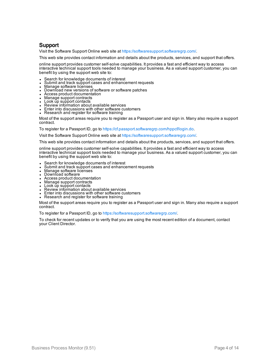#### Support

Visit the Software Support Online web site at <https://softwaresupport.softwaregrp.com/>.

This web site provides contact information and details about the products, services, and support that offers.

online support provides customer self-solve capabilities. It provides a fast and efficient way to access interactive technical support tools needed to manage your business. As a valued support customer, you can benefit by using the support web site to:

- Search for knowledge documents of interest
- Submit and track support cases and enhancement requests
- $\bullet$  Manage software licenses
- Download new versions of software or software patches
- Access product documentation
- Manage support contracts
- Look up support contacts
- Review information about available services
- Enter into discussions with other software customers
- Research and register for software training

Most of the support areas require you to register as a Passport user and sign in. Many also require a support contract.

To register for a Passport ID, go to [https://cf.passport.softwaregrp.com/hppcf/login.do.](https://cf.passport.softwaregrp.com/hppcf/login.do)

Visit the Software Support Online web site at <https://softwaresupport.softwaregrp.com/>.

This web site provides contact information and details about the products, services, and support that offers.

online support provides customer self-solve capabilities. It provides a fast and efficient way to access interactive technical support tools needed to manage your business. As a valued support customer, you can benefit by using the support web site to:

- Search for knowledge documents of interest
- Submit and track support cases and enhancement requests
- Manage software licenses
- Download software
- Access product documentation
- Manage support contracts
- Look up support contacts
- Review information about available services Enter into discussions with other software customers
- Research and register for software training

Most of the support areas require you to register as a Passport user and sign in. Many also require a support contract.

To register for a Passport ID, go to <https://softwaresupport.softwaregrp.com/>.

To check for recent updates or to verify that you are using the most recent edition of a document, contact your Client Director.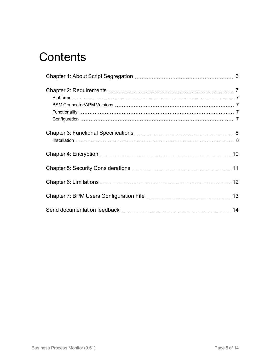## **Contents**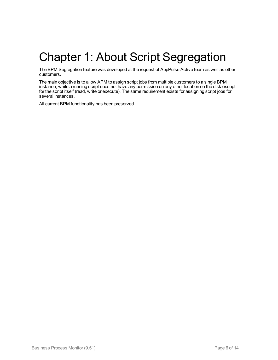# <span id="page-5-0"></span>Chapter 1: About Script Segregation

The BPM Segregation feature was developed at the request of AppPulse Active team as well as other customers.

The main objective is to allow APM to assign script jobs from multiple customers to a single BPM instance, while a running script does not have any permission on any other location on the disk except for the script itself (read, write or execute). The same requirement exists for assigning script jobs for several instances.

All current BPM functionality has been preserved.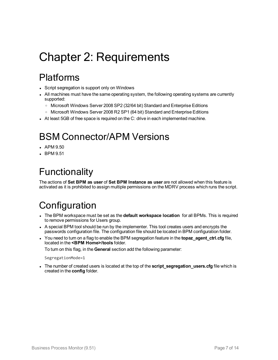# <span id="page-6-0"></span>Chapter 2: Requirements

### <span id="page-6-1"></span>Platforms

- Script segregation is support only on Windows
- All machines must have the same operating system, the following operating systems are currently supported:
	- <sup>o</sup> Microsoft Windows Server 2008 SP2 (32/64 bit) Standard and Enterprise Editions
	- o Microsoft Windows Server 2008 R2 SP1 (64 bit) Standard and Enterprise Editions
- <span id="page-6-2"></span>In At least 5GB of free space is required on the C: drive in each implemented machine.

## BSM Connector/APM Versions

- APM 9.50
- <span id="page-6-3"></span> $\cdot$  BPM 9.51

## Functionality

The actions of **Set BPM as user** of **Set BPM Instance as user** are not allowed when this feature is activated as it is prohibited to assign multiple permissions on the MDRV process which runs the script.

## <span id="page-6-4"></span>**Configuration**

- <sup>l</sup> The BPM workspace must be set as the **default workspace location** for all BPMs. This is required to remove permissions for Users group.
- A special BPM tool should be run by the implementer. This tool creates users and encrypts the passwords configuration file. The configuration file should be located in BPM configuration folder.
- You need to turn on a flag to enable the BPM segregation feature in the **topaz agent ctrl.cfg** file, located in the **<BPM Home>/tools** folder.

To turn on this flag, in the **General** section add the following parameter:

SegregationMode=1

• The number of created users is located at the top of the **script segregation users.cfg** file which is created in the **config** folder.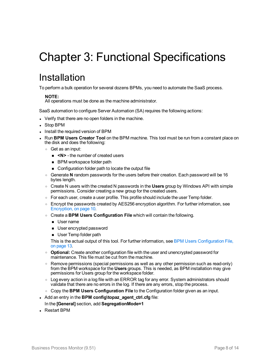# <span id="page-7-0"></span>Chapter 3: Functional Specifications

### <span id="page-7-1"></span>Installation

To perform a bulk operation for several dozens BPMs, you need to automate the SaaS process.

#### **NOTE:**

All operations must be done as the machine administrator.

SaaS automation to configure Server Automation (SA) requires the following actions:

- Verify that there are no open folders in the machine.
- Stop BPM
- Install the required version of BPM
- <sup>l</sup> Run **BPM Users Creator Tool** on the BPM machine. This tool must be run from a constant place on the disk and does the following:
	- <sup>o</sup> Get as an input:
		- **N>** the number of created users
		- **BPM** workspace folder path
		- Configuration folder path to locate the output file
	- <sup>o</sup> Generate **N** random passwords for the users before their creation. Each password will be 16 bytes length.
	- <sup>o</sup> Create N users with the created N passwords in the **Users** group by Windows API with simple permissions. Consider creating a new group for the created users.
	- $\circ$  For each user, create a user profile. This profile should include the user Temp folder.
	- $\circ$  Encrypt the passwords created by AES256 encryption algorithm. For further information, see [Encryption,](#page-9-0) on page 10.
	- <sup>o</sup> Create a **BPM Users Configuration File** which will contain the following.
		- **D** User name
		- **u** User encrypted password
		- **u** User Temp folder path

This is the actual output of this tool. For further information, see BPM Users [Configuration](#page-12-0) File, on [page](#page-12-0) 13.

- o **Optional:** Create another configuration file with the user and unencrypted password for maintenance. This file must be cut from the machine.
- $\circ$  Remove permissions (special permissions as well as any other permission such as read-only) from the BPM workspace for the **Users** groups. This is needed, as BPM installation may give permissions for Users group for the workspace folder.
- <sup>o</sup> Log every action in a log file with an ERROR tag for any error. System administrators should validate that there are no errors in the log. If there are any errors, stop the process.
- <sup>o</sup> Copy the **BPM Users Configuration File** to the Configuration folder given as an input.
- . Add an entry in the **BPM** config\topaz\_agent\_ctrl.cfg file:
	- In the **[General]** section, add **SegregationMode=1**
- Restart BPM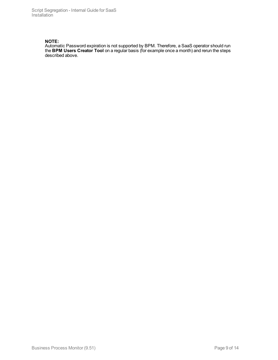Script Segregation - Internal Guide for SaaS Installation

#### **NOTE:**

Automatic Password expiration is not supported by BPM. Therefore, a SaaS operator should run the **BPM Users Creator Tool** on a regular basis (for example once a month) and rerun the steps described above.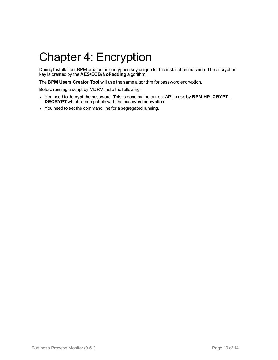# <span id="page-9-0"></span>Chapter 4: Encryption

During Installation, BPM creates an encryption key unique for the installation machine. The encryption key is created by the **AES/ECB/NoPadding** algorithm.

The **BPM Users Creator Tool** will use the same algorithm for password encryption.

Before running a script by MDRV, note the following:

- <sup>l</sup> You need to decrypt the password. This is done by the current API in use by **BPM HP\_CRYPT\_ DECRYPT** which is compatible with the password encryption.
- You need to set the command line for a segregated running.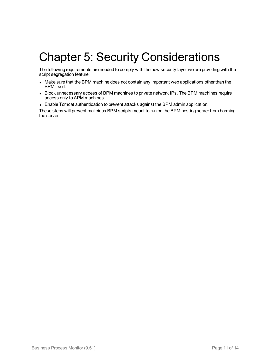## <span id="page-10-0"></span>Chapter 5: Security Considerations

The following requirements are needed to comply with the new security layer we are providing with the script segregation feature:

- Make sure that the BPM machine does not contain any important web applications other than the BPM itself.
- Block unnecessary access of BPM machines to private network IPs. The BPM machines require access only to APM machines.
- Enable Tomcat authentication to prevent attacks against the BPM admin application.

These steps will prevent malicious BPM scripts meant to run on the BPM hosting server from harming the server.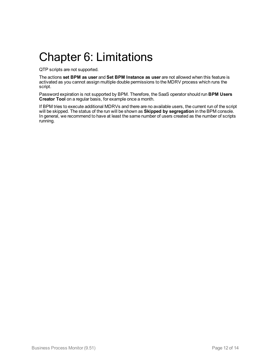## <span id="page-11-0"></span>Chapter 6: Limitations

QTP scripts are not supported.

The actions **set BPM as user** and **Set BPM Instance as user** are not allowed when this feature is activated as you cannot assign multiple double permissions to the MDRV process which runs the script.

Password expiration is not supported by BPM. Therefore, the SaaS operator should run **BPM Users Creator Tool** on a regular basis, for example once a month.

If BPM tries to execute additional MDRVs and there are no available users, the current run of the script will be skipped. The status of the run will be shown as **Skipped by segregation** in the BPM console. In general, we recommend to have at least the same number of users created as the number of scripts running.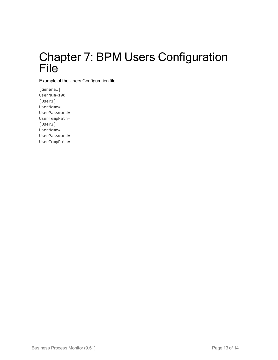## <span id="page-12-0"></span>Chapter 7: BPM Users Configuration File

Example of the Users Configuration file:

[General] UserNum=100 [User1] UserName= UserPassword= UserTempPath= [User2] UserName= UserPassword= UserTempPath=